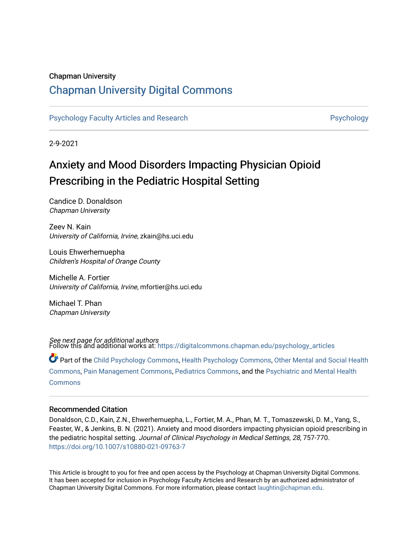### Chapman University

# [Chapman University Digital Commons](https://digitalcommons.chapman.edu/)

[Psychology Faculty Articles and Research](https://digitalcommons.chapman.edu/psychology_articles) **Provident Contact Article Systems** Psychology

2-9-2021

# Anxiety and Mood Disorders Impacting Physician Opioid Prescribing in the Pediatric Hospital Setting

Candice D. Donaldson Chapman University

Zeev N. Kain University of California, Irvine, zkain@hs.uci.edu

Louis Ehwerhemuepha Children's Hospital of Orange County

Michelle A. Fortier University of California, Irvine, mfortier@hs.uci.edu

Michael T. Phan Chapman University

*See next page for additional authors*<br>Follow this and additional works at: [https://digitalcommons.chapman.edu/psychology\\_articles](https://digitalcommons.chapman.edu/psychology_articles?utm_source=digitalcommons.chapman.edu%2Fpsychology_articles%2F240&utm_medium=PDF&utm_campaign=PDFCoverPages)

Part of the [Child Psychology Commons,](http://network.bepress.com/hgg/discipline/1023?utm_source=digitalcommons.chapman.edu%2Fpsychology_articles%2F240&utm_medium=PDF&utm_campaign=PDFCoverPages) [Health Psychology Commons](http://network.bepress.com/hgg/discipline/411?utm_source=digitalcommons.chapman.edu%2Fpsychology_articles%2F240&utm_medium=PDF&utm_campaign=PDFCoverPages), [Other Mental and Social Health](http://network.bepress.com/hgg/discipline/717?utm_source=digitalcommons.chapman.edu%2Fpsychology_articles%2F240&utm_medium=PDF&utm_campaign=PDFCoverPages)  [Commons](http://network.bepress.com/hgg/discipline/717?utm_source=digitalcommons.chapman.edu%2Fpsychology_articles%2F240&utm_medium=PDF&utm_campaign=PDFCoverPages), [Pain Management Commons](http://network.bepress.com/hgg/discipline/1274?utm_source=digitalcommons.chapman.edu%2Fpsychology_articles%2F240&utm_medium=PDF&utm_campaign=PDFCoverPages), [Pediatrics Commons,](http://network.bepress.com/hgg/discipline/700?utm_source=digitalcommons.chapman.edu%2Fpsychology_articles%2F240&utm_medium=PDF&utm_campaign=PDFCoverPages) and the [Psychiatric and Mental Health](http://network.bepress.com/hgg/discipline/711?utm_source=digitalcommons.chapman.edu%2Fpsychology_articles%2F240&utm_medium=PDF&utm_campaign=PDFCoverPages)  **[Commons](http://network.bepress.com/hgg/discipline/711?utm_source=digitalcommons.chapman.edu%2Fpsychology_articles%2F240&utm_medium=PDF&utm_campaign=PDFCoverPages)** 

#### Recommended Citation

Donaldson, C.D., Kain, Z.N., Ehwerhemuepha, L., Fortier, M. A., Phan, M. T., Tomaszewski, D. M., Yang, S., Feaster, W., & Jenkins, B. N. (2021). Anxiety and mood disorders impacting physician opioid prescribing in the pediatric hospital setting. Journal of Clinical Psychology in Medical Settings, 28, 757-770. <https://doi.org/10.1007/s10880-021-09763-7>

This Article is brought to you for free and open access by the Psychology at Chapman University Digital Commons. It has been accepted for inclusion in Psychology Faculty Articles and Research by an authorized administrator of Chapman University Digital Commons. For more information, please contact [laughtin@chapman.edu](mailto:laughtin@chapman.edu).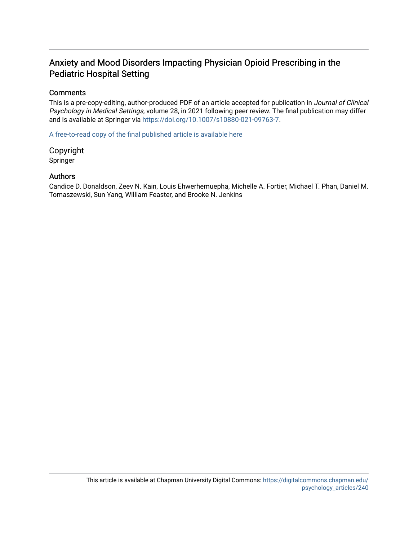# Anxiety and Mood Disorders Impacting Physician Opioid Prescribing in the Pediatric Hospital Setting

### **Comments**

This is a pre-copy-editing, author-produced PDF of an article accepted for publication in Journal of Clinical Psychology in Medical Settings, volume 28, in 2021 following peer review. The final publication may differ and is available at Springer via [https://doi.org/10.1007/s10880-021-09763-7.](https://doi.org/10.1007/s10880-021-09763-7)

[A free-to-read copy of the final published article is available here](https://rdcu.be/cfpcf)

Copyright Springer

## Authors

Candice D. Donaldson, Zeev N. Kain, Louis Ehwerhemuepha, Michelle A. Fortier, Michael T. Phan, Daniel M. Tomaszewski, Sun Yang, William Feaster, and Brooke N. Jenkins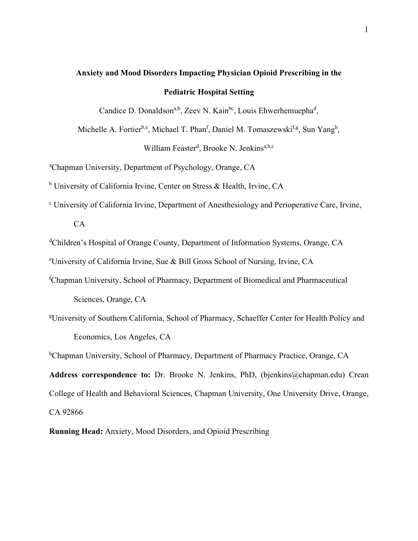# **Anxiety and Mood Disorders Impacting Physician Opioid Prescribing in the Pediatric Hospital Setting**

Candice D. Donaldson<sup>a,b</sup>, Zeev N. Kain<sup>bc</sup>, Louis Ehwerhemuepha<sup>d</sup>,

Michelle A. Fortier<sup>b,e</sup>, Michael T. Phan<sup>f</sup>, Daniel M. Tomaszewski<sup>f,g</sup>, Sun Yang<sup>h</sup>,

William Feaster<sup>d</sup>, Brooke N. Jenkins<sup>a,b,c</sup>

a Chapman University, Department of Psychology, Orange, CA

<sup>b</sup> University of California Irvine, Center on Stress & Health, Irvine, CA

<sup>c</sup> University of California Irvine, Department of Anesthesiology and Perioperative Care, Irvine,

CA

<sup>d</sup>Children's Hospital of Orange County, Department of Information Systems, Orange, CA

e University of California Irvine, Sue & Bill Gross School of Nursing, Irvine, CA

- f Chapman University, School of Pharmacy, Department of Biomedical and Pharmaceutical Sciences, Orange, CA
- g University of Southern California, School of Pharmacy, Schaeffer Center for Health Policy and Economics, Los Angeles, CA

<sup>h</sup>Chapman University, School of Pharmacy, Department of Pharmacy Practice, Orange, CA **Address correspondence to:** Dr. Brooke N. Jenkins, PhD, (bjenkins@chapman.edu) Crean College of Health and Behavioral Sciences, Chapman University, One University Drive, Orange, CA 92866

**Running Head:** Anxiety, Mood Disorders, and Opioid Prescribing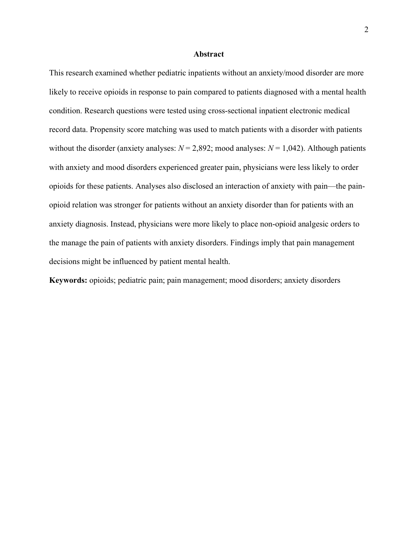#### **Abstract**

This research examined whether pediatric inpatients without an anxiety/mood disorder are more likely to receive opioids in response to pain compared to patients diagnosed with a mental health condition. Research questions were tested using cross-sectional inpatient electronic medical record data. Propensity score matching was used to match patients with a disorder with patients without the disorder (anxiety analyses:  $N = 2,892$ ; mood analyses:  $N = 1,042$ ). Although patients with anxiety and mood disorders experienced greater pain, physicians were less likely to order opioids for these patients. Analyses also disclosed an interaction of anxiety with pain—the painopioid relation was stronger for patients without an anxiety disorder than for patients with an anxiety diagnosis. Instead, physicians were more likely to place non-opioid analgesic orders to the manage the pain of patients with anxiety disorders. Findings imply that pain management decisions might be influenced by patient mental health.

**Keywords:** opioids; pediatric pain; pain management; mood disorders; anxiety disorders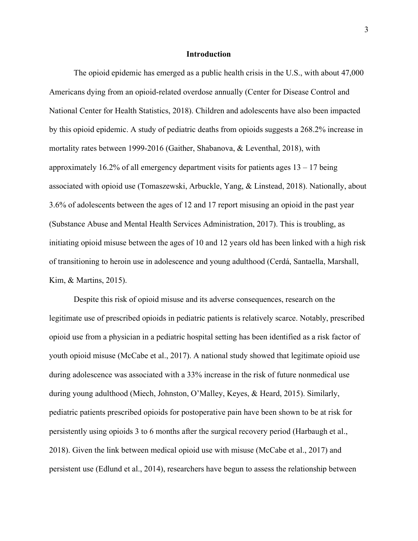#### **Introduction**

The opioid epidemic has emerged as a public health crisis in the U.S., with about 47,000 Americans dying from an opioid-related overdose annually (Center for Disease Control and National Center for Health Statistics, 2018). Children and adolescents have also been impacted by this opioid epidemic. A study of pediatric deaths from opioids suggests a 268.2% increase in mortality rates between 1999-2016 (Gaither, Shabanova, & Leventhal, 2018), with approximately 16.2% of all emergency department visits for patients ages  $13 - 17$  being associated with opioid use (Tomaszewski, Arbuckle, Yang, & Linstead, 2018). Nationally, about 3.6% of adolescents between the ages of 12 and 17 report misusing an opioid in the past year (Substance Abuse and Mental Health Services Administration, 2017). This is troubling, as initiating opioid misuse between the ages of 10 and 12 years old has been linked with a high risk of transitioning to heroin use in adolescence and young adulthood (Cerdá, Santaella, Marshall, Kim, & Martins, 2015).

Despite this risk of opioid misuse and its adverse consequences, research on the legitimate use of prescribed opioids in pediatric patients is relatively scarce. Notably, prescribed opioid use from a physician in a pediatric hospital setting has been identified as a risk factor of youth opioid misuse (McCabe et al., 2017). A national study showed that legitimate opioid use during adolescence was associated with a 33% increase in the risk of future nonmedical use during young adulthood (Miech, Johnston, O'Malley, Keyes, & Heard, 2015). Similarly, pediatric patients prescribed opioids for postoperative pain have been shown to be at risk for persistently using opioids 3 to 6 months after the surgical recovery period (Harbaugh et al., 2018). Given the link between medical opioid use with misuse (McCabe et al., 2017) and persistent use (Edlund et al., 2014), researchers have begun to assess the relationship between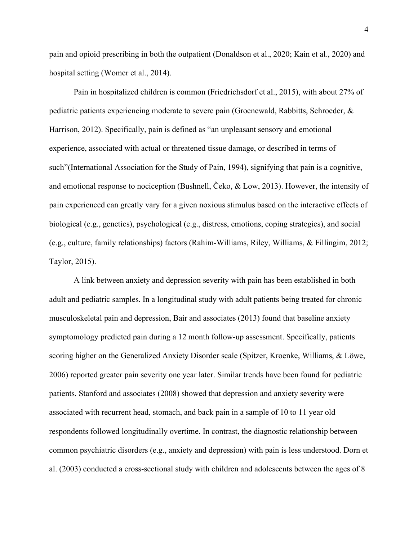pain and opioid prescribing in both the outpatient (Donaldson et al., 2020; Kain et al., 2020) and hospital setting (Womer et al., 2014).

Pain in hospitalized children is common (Friedrichsdorf et al., 2015), with about 27% of pediatric patients experiencing moderate to severe pain (Groenewald, Rabbitts, Schroeder, & Harrison, 2012). Specifically, pain is defined as "an unpleasant sensory and emotional experience, associated with actual or threatened tissue damage, or described in terms of such"(International Association for the Study of Pain, 1994), signifying that pain is a cognitive, and emotional response to nociception (Bushnell, Čeko, & Low, 2013). However, the intensity of pain experienced can greatly vary for a given noxious stimulus based on the interactive effects of biological (e.g., genetics), psychological (e.g., distress, emotions, coping strategies), and social (e.g., culture, family relationships) factors (Rahim-Williams, Riley, Williams, & Fillingim, 2012; Taylor, 2015).

A link between anxiety and depression severity with pain has been established in both adult and pediatric samples. In a longitudinal study with adult patients being treated for chronic musculoskeletal pain and depression, Bair and associates (2013) found that baseline anxiety symptomology predicted pain during a 12 month follow-up assessment. Specifically, patients scoring higher on the Generalized Anxiety Disorder scale (Spitzer, Kroenke, Williams, & Löwe, 2006) reported greater pain severity one year later. Similar trends have been found for pediatric patients. Stanford and associates (2008) showed that depression and anxiety severity were associated with recurrent head, stomach, and back pain in a sample of 10 to 11 year old respondents followed longitudinally overtime. In contrast, the diagnostic relationship between common psychiatric disorders (e.g., anxiety and depression) with pain is less understood. Dorn et al. (2003) conducted a cross-sectional study with children and adolescents between the ages of 8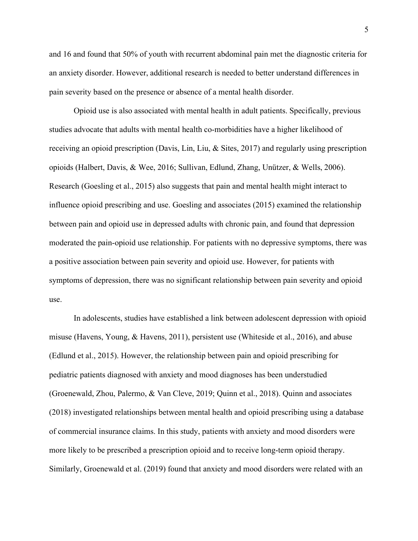and 16 and found that 50% of youth with recurrent abdominal pain met the diagnostic criteria for an anxiety disorder. However, additional research is needed to better understand differences in pain severity based on the presence or absence of a mental health disorder.

Opioid use is also associated with mental health in adult patients. Specifically, previous studies advocate that adults with mental health co-morbidities have a higher likelihood of receiving an opioid prescription (Davis, Lin, Liu, & Sites, 2017) and regularly using prescription opioids (Halbert, Davis, & Wee, 2016; Sullivan, Edlund, Zhang, Unützer, & Wells, 2006). Research (Goesling et al., 2015) also suggests that pain and mental health might interact to influence opioid prescribing and use. Goesling and associates (2015) examined the relationship between pain and opioid use in depressed adults with chronic pain, and found that depression moderated the pain-opioid use relationship. For patients with no depressive symptoms, there was a positive association between pain severity and opioid use. However, for patients with symptoms of depression, there was no significant relationship between pain severity and opioid use.

In adolescents, studies have established a link between adolescent depression with opioid misuse (Havens, Young, & Havens, 2011), persistent use (Whiteside et al., 2016), and abuse (Edlund et al., 2015). However, the relationship between pain and opioid prescribing for pediatric patients diagnosed with anxiety and mood diagnoses has been understudied (Groenewald, Zhou, Palermo, & Van Cleve, 2019; Quinn et al., 2018). Quinn and associates (2018) investigated relationships between mental health and opioid prescribing using a database of commercial insurance claims. In this study, patients with anxiety and mood disorders were more likely to be prescribed a prescription opioid and to receive long-term opioid therapy. Similarly, Groenewald et al. (2019) found that anxiety and mood disorders were related with an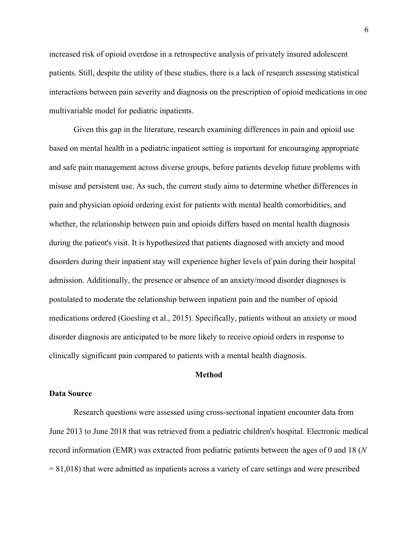increased risk of opioid overdose in a retrospective analysis of privately insured adolescent patients. Still, despite the utility of these studies, there is a lack of research assessing statistical interactions between pain severity and diagnosis on the prescription of opioid medications in one multivariable model for pediatric inpatients.

Given this gap in the literature, research examining differences in pain and opioid use based on mental health in a pediatric inpatient setting is important for encouraging appropriate and safe pain management across diverse groups, before patients develop future problems with misuse and persistent use. As such, the current study aims to determine whether differences in pain and physician opioid ordering exist for patients with mental health comorbidities, and whether, the relationship between pain and opioids differs based on mental health diagnosis during the patient's visit. It is hypothesized that patients diagnosed with anxiety and mood disorders during their inpatient stay will experience higher levels of pain during their hospital admission. Additionally, the presence or absence of an anxiety/mood disorder diagnoses is postulated to moderate the relationship between inpatient pain and the number of opioid medications ordered (Goesling et al., 2015). Specifically, patients without an anxiety or mood disorder diagnosis are anticipated to be more likely to receive opioid orders in response to clinically significant pain compared to patients with a mental health diagnosis.

#### **Method**

#### **Data Source**

Research questions were assessed using cross-sectional inpatient encounter data from June 2013 to June 2018 that was retrieved from a pediatric children's hospital. Electronic medical record information (EMR) was extracted from pediatric patients between the ages of 0 and 18 (*N*  $= 81,018$ ) that were admitted as inpatients across a variety of care settings and were prescribed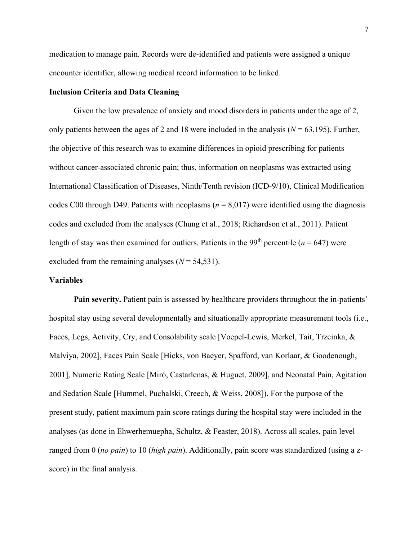medication to manage pain. Records were de-identified and patients were assigned a unique encounter identifier, allowing medical record information to be linked.

#### **Inclusion Criteria and Data Cleaning**

Given the low prevalence of anxiety and mood disorders in patients under the age of 2, only patients between the ages of 2 and 18 were included in the analysis  $(N = 63,195)$ . Further, the objective of this research was to examine differences in opioid prescribing for patients without cancer-associated chronic pain; thus, information on neoplasms was extracted using International Classification of Diseases, Ninth/Tenth revision (ICD-9/10), Clinical Modification codes C00 through D49. Patients with neoplasms ( $n = 8,017$ ) were identified using the diagnosis codes and excluded from the analyses (Chung et al., 2018; Richardson et al., 2011). Patient length of stay was then examined for outliers. Patients in the 99<sup>th</sup> percentile ( $n = 647$ ) were excluded from the remaining analyses  $(N = 54, 531)$ .

#### **Variables**

**Pain severity.** Patient pain is assessed by healthcare providers throughout the in-patients' hospital stay using several developmentally and situationally appropriate measurement tools (i.e., Faces, Legs, Activity, Cry, and Consolability scale [Voepel-Lewis, Merkel, Tait, Trzcinka, & Malviya, 2002], Faces Pain Scale [Hicks, von Baeyer, Spafford, van Korlaar, & Goodenough, 2001], Numeric Rating Scale [Miró, Castarlenas, & Huguet, 2009], and Neonatal Pain, Agitation and Sedation Scale [Hummel, Puchalski, Creech, & Weiss, 2008]). For the purpose of the present study, patient maximum pain score ratings during the hospital stay were included in the analyses (as done in Ehwerhemuepha, Schultz, & Feaster, 2018). Across all scales, pain level ranged from 0 (*no pain*) to 10 (*high pain*). Additionally, pain score was standardized (using a zscore) in the final analysis.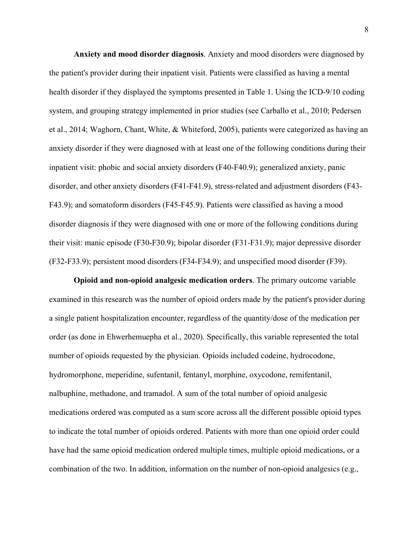**Anxiety and mood disorder diagnosis**. Anxiety and mood disorders were diagnosed by the patient's provider during their inpatient visit. Patients were classified as having a mental health disorder if they displayed the symptoms presented in Table 1. Using the ICD-9/10 coding system, and grouping strategy implemented in prior studies (see Carballo et al., 2010; Pedersen et al., 2014; Waghorn, Chant, White, & Whiteford, 2005), patients were categorized as having an anxiety disorder if they were diagnosed with at least one of the following conditions during their inpatient visit: phobic and social anxiety disorders (F40-F40.9); generalized anxiety, panic disorder, and other anxiety disorders (F41-F41.9), stress-related and adjustment disorders (F43- F43.9); and somatoform disorders (F45-F45.9). Patients were classified as having a mood disorder diagnosis if they were diagnosed with one or more of the following conditions during their visit: manic episode (F30-F30.9); bipolar disorder (F31-F31.9); major depressive disorder (F32-F33.9); persistent mood disorders (F34-F34.9); and unspecified mood disorder (F39).

**Opioid and non-opioid analgesic medication orders**. The primary outcome variable examined in this research was the number of opioid orders made by the patient's provider during a single patient hospitalization encounter, regardless of the quantity/dose of the medication per order (as done in Ehwerhemuepha et al., 2020). Specifically, this variable represented the total number of opioids requested by the physician. Opioids included codeine, hydrocodone, hydromorphone, meperidine, sufentanil, fentanyl, morphine, oxycodone, remifentanil, nalbuphine, methadone, and tramadol. A sum of the total number of opioid analgesic medications ordered was computed as a sum score across all the different possible opioid types to indicate the total number of opioids ordered. Patients with more than one opioid order could have had the same opioid medication ordered multiple times, multiple opioid medications, or a combination of the two. In addition, information on the number of non-opioid analgesics (e.g.,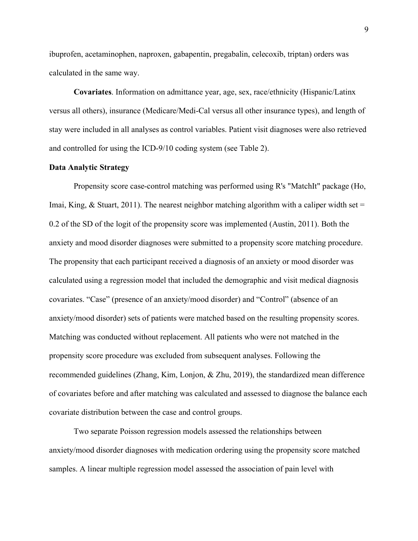ibuprofen, acetaminophen, naproxen, gabapentin, pregabalin, celecoxib, triptan) orders was calculated in the same way.

**Covariates**. Information on admittance year, age, sex, race/ethnicity (Hispanic/Latinx versus all others), insurance (Medicare/Medi-Cal versus all other insurance types), and length of stay were included in all analyses as control variables. Patient visit diagnoses were also retrieved and controlled for using the ICD-9/10 coding system (see Table 2).

#### **Data Analytic Strategy**

Propensity score case-control matching was performed using R's "MatchIt" package (Ho, Imai, King, & Stuart, 2011). The nearest neighbor matching algorithm with a caliper width set  $=$ 0.2 of the SD of the logit of the propensity score was implemented (Austin, 2011). Both the anxiety and mood disorder diagnoses were submitted to a propensity score matching procedure. The propensity that each participant received a diagnosis of an anxiety or mood disorder was calculated using a regression model that included the demographic and visit medical diagnosis covariates. "Case" (presence of an anxiety/mood disorder) and "Control" (absence of an anxiety/mood disorder) sets of patients were matched based on the resulting propensity scores. Matching was conducted without replacement. All patients who were not matched in the propensity score procedure was excluded from subsequent analyses. Following the recommended guidelines (Zhang, Kim, Lonjon, & Zhu, 2019), the standardized mean difference of covariates before and after matching was calculated and assessed to diagnose the balance each covariate distribution between the case and control groups.

Two separate Poisson regression models assessed the relationships between anxiety/mood disorder diagnoses with medication ordering using the propensity score matched samples. A linear multiple regression model assessed the association of pain level with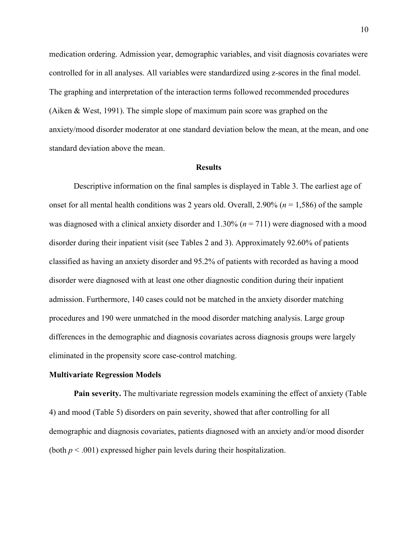medication ordering. Admission year, demographic variables, and visit diagnosis covariates were controlled for in all analyses. All variables were standardized using z-scores in the final model. The graphing and interpretation of the interaction terms followed recommended procedures (Aiken & West, 1991). The simple slope of maximum pain score was graphed on the anxiety/mood disorder moderator at one standard deviation below the mean, at the mean, and one standard deviation above the mean.

#### **Results**

Descriptive information on the final samples is displayed in Table 3. The earliest age of onset for all mental health conditions was 2 years old. Overall, 2.90% (*n* = 1,586) of the sample was diagnosed with a clinical anxiety disorder and 1.30% (*n* = 711) were diagnosed with a mood disorder during their inpatient visit (see Tables 2 and 3). Approximately 92.60% of patients classified as having an anxiety disorder and 95.2% of patients with recorded as having a mood disorder were diagnosed with at least one other diagnostic condition during their inpatient admission. Furthermore, 140 cases could not be matched in the anxiety disorder matching procedures and 190 were unmatched in the mood disorder matching analysis. Large group differences in the demographic and diagnosis covariates across diagnosis groups were largely eliminated in the propensity score case-control matching.

#### **Multivariate Regression Models**

**Pain severity.** The multivariate regression models examining the effect of anxiety (Table 4) and mood (Table 5) disorders on pain severity, showed that after controlling for all demographic and diagnosis covariates, patients diagnosed with an anxiety and/or mood disorder (both  $p < .001$ ) expressed higher pain levels during their hospitalization.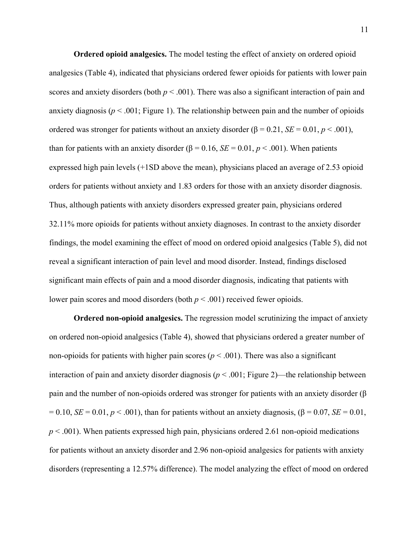**Ordered opioid analgesics.** The model testing the effect of anxiety on ordered opioid analgesics (Table 4), indicated that physicians ordered fewer opioids for patients with lower pain scores and anxiety disorders (both *p* < .001). There was also a significant interaction of pain and anxiety diagnosis ( $p < .001$ ; Figure 1). The relationship between pain and the number of opioids ordered was stronger for patients without an anxiety disorder ( $\beta = 0.21$ ,  $SE = 0.01$ ,  $p < .001$ ), than for patients with an anxiety disorder ( $\beta = 0.16$ ,  $SE = 0.01$ ,  $p < .001$ ). When patients expressed high pain levels (+1SD above the mean), physicians placed an average of 2.53 opioid orders for patients without anxiety and 1.83 orders for those with an anxiety disorder diagnosis. Thus, although patients with anxiety disorders expressed greater pain, physicians ordered 32.11% more opioids for patients without anxiety diagnoses. In contrast to the anxiety disorder findings, the model examining the effect of mood on ordered opioid analgesics (Table 5), did not reveal a significant interaction of pain level and mood disorder. Instead, findings disclosed significant main effects of pain and a mood disorder diagnosis, indicating that patients with lower pain scores and mood disorders (both *p* < .001) received fewer opioids.

**Ordered non-opioid analgesics.** The regression model scrutinizing the impact of anxiety on ordered non-opioid analgesics (Table 4), showed that physicians ordered a greater number of non-opioids for patients with higher pain scores ( $p < .001$ ). There was also a significant interaction of pain and anxiety disorder diagnosis (*p* < .001; Figure 2)—the relationship between pain and the number of non-opioids ordered was stronger for patients with an anxiety disorder (β  $= 0.10, SE = 0.01, p < .001$ , than for patients without an anxiety diagnosis, (β = 0.07, *SE* = 0.01, *p* < .001). When patients expressed high pain, physicians ordered 2.61 non-opioid medications for patients without an anxiety disorder and 2.96 non-opioid analgesics for patients with anxiety disorders (representing a 12.57% difference). The model analyzing the effect of mood on ordered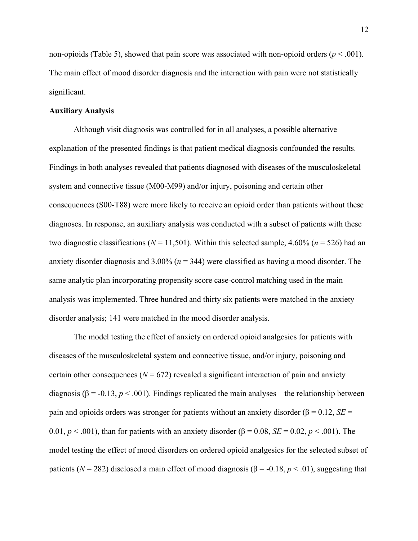non-opioids (Table 5), showed that pain score was associated with non-opioid orders (*p* < .001). The main effect of mood disorder diagnosis and the interaction with pain were not statistically significant.

#### **Auxiliary Analysis**

Although visit diagnosis was controlled for in all analyses, a possible alternative explanation of the presented findings is that patient medical diagnosis confounded the results. Findings in both analyses revealed that patients diagnosed with diseases of the musculoskeletal system and connective tissue (M00-M99) and/or injury, poisoning and certain other consequences (S00-T88) were more likely to receive an opioid order than patients without these diagnoses. In response, an auxiliary analysis was conducted with a subset of patients with these two diagnostic classifications ( $N = 11,501$ ). Within this selected sample, 4.60% ( $n = 526$ ) had an anxiety disorder diagnosis and 3.00% (*n* = 344) were classified as having a mood disorder. The same analytic plan incorporating propensity score case-control matching used in the main analysis was implemented. Three hundred and thirty six patients were matched in the anxiety disorder analysis; 141 were matched in the mood disorder analysis.

The model testing the effect of anxiety on ordered opioid analgesics for patients with diseases of the musculoskeletal system and connective tissue, and/or injury, poisoning and certain other consequences  $(N = 672)$  revealed a significant interaction of pain and anxiety diagnosis ( $\beta$  = -0.13,  $p < .001$ ). Findings replicated the main analyses—the relationship between pain and opioids orders was stronger for patients without an anxiety disorder ( $\beta = 0.12$ ,  $SE =$ 0.01, *p* < .001), than for patients with an anxiety disorder (β = 0.08, *SE* = 0.02, *p* < .001). The model testing the effect of mood disorders on ordered opioid analgesics for the selected subset of patients ( $N = 282$ ) disclosed a main effect of mood diagnosis ( $β = -0.18, p < 0.01$ ), suggesting that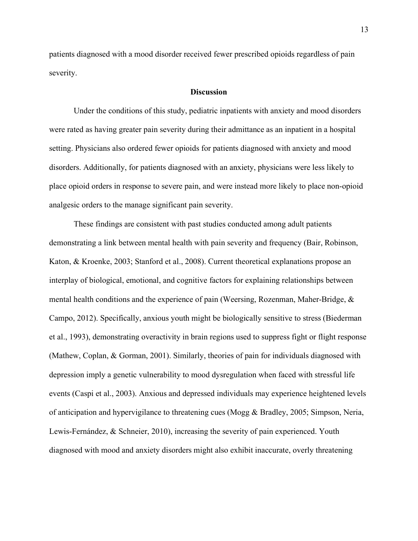patients diagnosed with a mood disorder received fewer prescribed opioids regardless of pain severity.

#### **Discussion**

Under the conditions of this study, pediatric inpatients with anxiety and mood disorders were rated as having greater pain severity during their admittance as an inpatient in a hospital setting. Physicians also ordered fewer opioids for patients diagnosed with anxiety and mood disorders. Additionally, for patients diagnosed with an anxiety, physicians were less likely to place opioid orders in response to severe pain, and were instead more likely to place non-opioid analgesic orders to the manage significant pain severity.

These findings are consistent with past studies conducted among adult patients demonstrating a link between mental health with pain severity and frequency (Bair, Robinson, Katon, & Kroenke, 2003; Stanford et al., 2008). Current theoretical explanations propose an interplay of biological, emotional, and cognitive factors for explaining relationships between mental health conditions and the experience of pain (Weersing, Rozenman, Maher-Bridge, & Campo, 2012). Specifically, anxious youth might be biologically sensitive to stress (Biederman et al., 1993), demonstrating overactivity in brain regions used to suppress fight or flight response (Mathew, Coplan, & Gorman, 2001). Similarly, theories of pain for individuals diagnosed with depression imply a genetic vulnerability to mood dysregulation when faced with stressful life events (Caspi et al., 2003). Anxious and depressed individuals may experience heightened levels of anticipation and hypervigilance to threatening cues (Mogg & Bradley, 2005; Simpson, Neria, Lewis-Fernández, & Schneier, 2010), increasing the severity of pain experienced. Youth diagnosed with mood and anxiety disorders might also exhibit inaccurate, overly threatening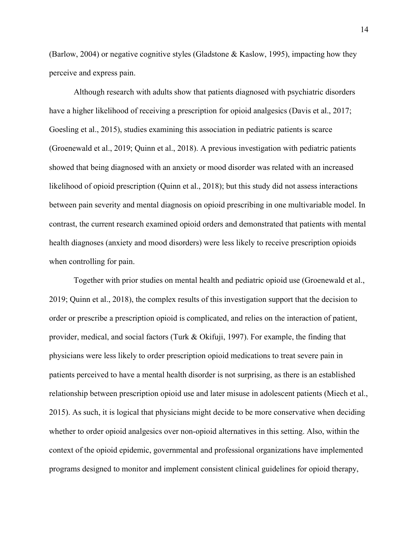(Barlow, 2004) or negative cognitive styles (Gladstone & Kaslow, 1995), impacting how they perceive and express pain.

Although research with adults show that patients diagnosed with psychiatric disorders have a higher likelihood of receiving a prescription for opioid analgesics (Davis et al., 2017; Goesling et al., 2015), studies examining this association in pediatric patients is scarce (Groenewald et al., 2019; Quinn et al., 2018). A previous investigation with pediatric patients showed that being diagnosed with an anxiety or mood disorder was related with an increased likelihood of opioid prescription (Quinn et al., 2018); but this study did not assess interactions between pain severity and mental diagnosis on opioid prescribing in one multivariable model. In contrast, the current research examined opioid orders and demonstrated that patients with mental health diagnoses (anxiety and mood disorders) were less likely to receive prescription opioids when controlling for pain.

Together with prior studies on mental health and pediatric opioid use (Groenewald et al., 2019; Quinn et al., 2018), the complex results of this investigation support that the decision to order or prescribe a prescription opioid is complicated, and relies on the interaction of patient, provider, medical, and social factors (Turk & Okifuji, 1997). For example, the finding that physicians were less likely to order prescription opioid medications to treat severe pain in patients perceived to have a mental health disorder is not surprising, as there is an established relationship between prescription opioid use and later misuse in adolescent patients (Miech et al., 2015). As such, it is logical that physicians might decide to be more conservative when deciding whether to order opioid analgesics over non-opioid alternatives in this setting. Also, within the context of the opioid epidemic, governmental and professional organizations have implemented programs designed to monitor and implement consistent clinical guidelines for opioid therapy,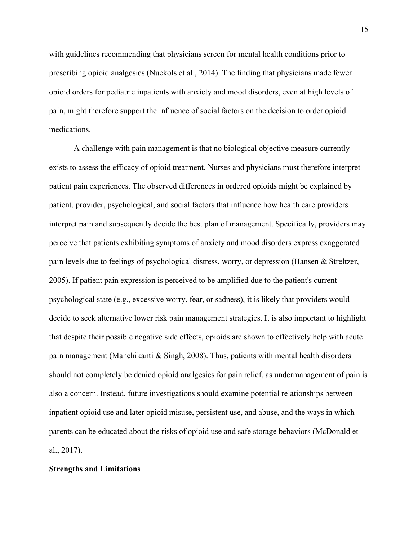with guidelines recommending that physicians screen for mental health conditions prior to prescribing opioid analgesics (Nuckols et al., 2014). The finding that physicians made fewer opioid orders for pediatric inpatients with anxiety and mood disorders, even at high levels of pain, might therefore support the influence of social factors on the decision to order opioid medications.

A challenge with pain management is that no biological objective measure currently exists to assess the efficacy of opioid treatment. Nurses and physicians must therefore interpret patient pain experiences. The observed differences in ordered opioids might be explained by patient, provider, psychological, and social factors that influence how health care providers interpret pain and subsequently decide the best plan of management. Specifically, providers may perceive that patients exhibiting symptoms of anxiety and mood disorders express exaggerated pain levels due to feelings of psychological distress, worry, or depression (Hansen & Streltzer, 2005). If patient pain expression is perceived to be amplified due to the patient's current psychological state (e.g., excessive worry, fear, or sadness), it is likely that providers would decide to seek alternative lower risk pain management strategies. It is also important to highlight that despite their possible negative side effects, opioids are shown to effectively help with acute pain management (Manchikanti & Singh, 2008). Thus, patients with mental health disorders should not completely be denied opioid analgesics for pain relief, as undermanagement of pain is also a concern. Instead, future investigations should examine potential relationships between inpatient opioid use and later opioid misuse, persistent use, and abuse, and the ways in which parents can be educated about the risks of opioid use and safe storage behaviors (McDonald et al., 2017).

#### **Strengths and Limitations**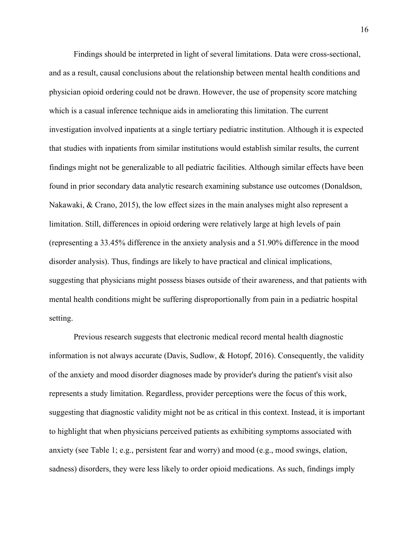Findings should be interpreted in light of several limitations. Data were cross-sectional, and as a result, causal conclusions about the relationship between mental health conditions and physician opioid ordering could not be drawn. However, the use of propensity score matching which is a casual inference technique aids in ameliorating this limitation. The current investigation involved inpatients at a single tertiary pediatric institution. Although it is expected that studies with inpatients from similar institutions would establish similar results, the current findings might not be generalizable to all pediatric facilities. Although similar effects have been found in prior secondary data analytic research examining substance use outcomes (Donaldson, Nakawaki, & Crano, 2015), the low effect sizes in the main analyses might also represent a limitation. Still, differences in opioid ordering were relatively large at high levels of pain (representing a 33.45% difference in the anxiety analysis and a 51.90% difference in the mood disorder analysis). Thus, findings are likely to have practical and clinical implications, suggesting that physicians might possess biases outside of their awareness, and that patients with mental health conditions might be suffering disproportionally from pain in a pediatric hospital setting.

Previous research suggests that electronic medical record mental health diagnostic information is not always accurate (Davis, Sudlow, & Hotopf, 2016). Consequently, the validity of the anxiety and mood disorder diagnoses made by provider's during the patient's visit also represents a study limitation. Regardless, provider perceptions were the focus of this work, suggesting that diagnostic validity might not be as critical in this context. Instead, it is important to highlight that when physicians perceived patients as exhibiting symptoms associated with anxiety (see Table 1; e.g., persistent fear and worry) and mood (e.g., mood swings, elation, sadness) disorders, they were less likely to order opioid medications. As such, findings imply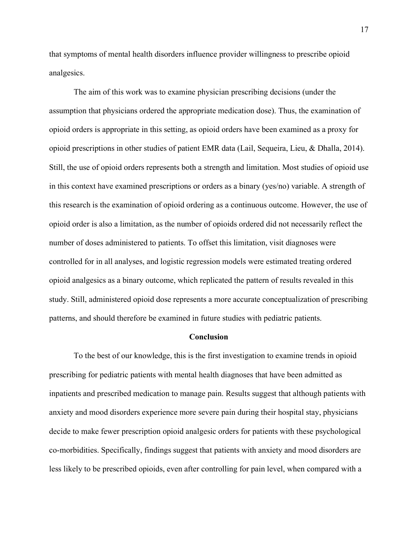that symptoms of mental health disorders influence provider willingness to prescribe opioid analgesics.

The aim of this work was to examine physician prescribing decisions (under the assumption that physicians ordered the appropriate medication dose). Thus, the examination of opioid orders is appropriate in this setting, as opioid orders have been examined as a proxy for opioid prescriptions in other studies of patient EMR data (Lail, Sequeira, Lieu, & Dhalla, 2014). Still, the use of opioid orders represents both a strength and limitation. Most studies of opioid use in this context have examined prescriptions or orders as a binary (yes/no) variable. A strength of this research is the examination of opioid ordering as a continuous outcome. However, the use of opioid order is also a limitation, as the number of opioids ordered did not necessarily reflect the number of doses administered to patients. To offset this limitation, visit diagnoses were controlled for in all analyses, and logistic regression models were estimated treating ordered opioid analgesics as a binary outcome, which replicated the pattern of results revealed in this study. Still, administered opioid dose represents a more accurate conceptualization of prescribing patterns, and should therefore be examined in future studies with pediatric patients.

#### **Conclusion**

To the best of our knowledge, this is the first investigation to examine trends in opioid prescribing for pediatric patients with mental health diagnoses that have been admitted as inpatients and prescribed medication to manage pain. Results suggest that although patients with anxiety and mood disorders experience more severe pain during their hospital stay, physicians decide to make fewer prescription opioid analgesic orders for patients with these psychological co-morbidities. Specifically, findings suggest that patients with anxiety and mood disorders are less likely to be prescribed opioids, even after controlling for pain level, when compared with a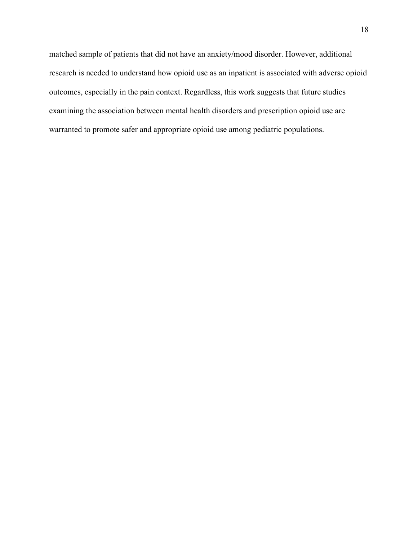matched sample of patients that did not have an anxiety/mood disorder. However, additional research is needed to understand how opioid use as an inpatient is associated with adverse opioid outcomes, especially in the pain context. Regardless, this work suggests that future studies examining the association between mental health disorders and prescription opioid use are warranted to promote safer and appropriate opioid use among pediatric populations.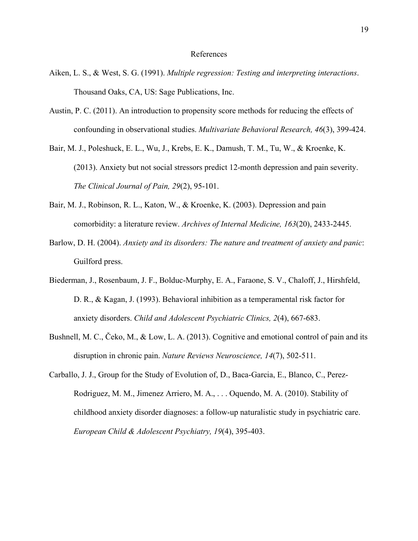#### References

- Aiken, L. S., & West, S. G. (1991). *Multiple regression: Testing and interpreting interactions*. Thousand Oaks, CA, US: Sage Publications, Inc.
- Austin, P. C. (2011). An introduction to propensity score methods for reducing the effects of confounding in observational studies. *Multivariate Behavioral Research, 46*(3), 399-424.
- Bair, M. J., Poleshuck, E. L., Wu, J., Krebs, E. K., Damush, T. M., Tu, W., & Kroenke, K. (2013). Anxiety but not social stressors predict 12-month depression and pain severity. *The Clinical Journal of Pain, 29*(2), 95-101.
- Bair, M. J., Robinson, R. L., Katon, W., & Kroenke, K. (2003). Depression and pain comorbidity: a literature review. *Archives of Internal Medicine, 163*(20), 2433-2445.
- Barlow, D. H. (2004). *Anxiety and its disorders: The nature and treatment of anxiety and panic*: Guilford press.
- Biederman, J., Rosenbaum, J. F., Bolduc-Murphy, E. A., Faraone, S. V., Chaloff, J., Hirshfeld, D. R., & Kagan, J. (1993). Behavioral inhibition as a temperamental risk factor for anxiety disorders. *Child and Adolescent Psychiatric Clinics, 2*(4), 667-683.
- Bushnell, M. C., Čeko, M., & Low, L. A. (2013). Cognitive and emotional control of pain and its disruption in chronic pain. *Nature Reviews Neuroscience, 14*(7), 502-511.
- Carballo, J. J., Group for the Study of Evolution of, D., Baca-Garcia, E., Blanco, C., Perez-Rodriguez, M. M., Jimenez Arriero, M. A., . . . Oquendo, M. A. (2010). Stability of childhood anxiety disorder diagnoses: a follow-up naturalistic study in psychiatric care. *European Child & Adolescent Psychiatry, 19*(4), 395-403.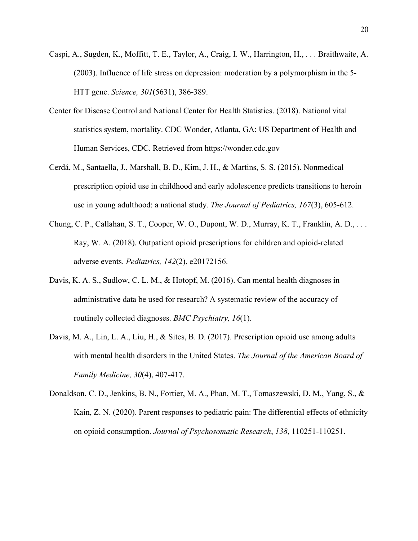- Caspi, A., Sugden, K., Moffitt, T. E., Taylor, A., Craig, I. W., Harrington, H., . . . Braithwaite, A. (2003). Influence of life stress on depression: moderation by a polymorphism in the 5- HTT gene. *Science, 301*(5631), 386-389.
- Center for Disease Control and National Center for Health Statistics. (2018). National vital statistics system, mortality. CDC Wonder, Atlanta, GA: US Department of Health and Human Services, CDC. Retrieved from https://wonder.cdc.gov
- Cerdá, M., Santaella, J., Marshall, B. D., Kim, J. H., & Martins, S. S. (2015). Nonmedical prescription opioid use in childhood and early adolescence predicts transitions to heroin use in young adulthood: a national study. *The Journal of Pediatrics, 167*(3), 605-612.
- Chung, C. P., Callahan, S. T., Cooper, W. O., Dupont, W. D., Murray, K. T., Franklin, A. D., . . . Ray, W. A. (2018). Outpatient opioid prescriptions for children and opioid-related adverse events. *Pediatrics, 142*(2), e20172156.
- Davis, K. A. S., Sudlow, C. L. M., & Hotopf, M. (2016). Can mental health diagnoses in administrative data be used for research? A systematic review of the accuracy of routinely collected diagnoses. *BMC Psychiatry, 16*(1).
- Davis, M. A., Lin, L. A., Liu, H., & Sites, B. D. (2017). Prescription opioid use among adults with mental health disorders in the United States. *The Journal of the American Board of Family Medicine, 30*(4), 407-417.
- Donaldson, C. D., Jenkins, B. N., Fortier, M. A., Phan, M. T., Tomaszewski, D. M., Yang, S., & Kain, Z. N. (2020). Parent responses to pediatric pain: The differential effects of ethnicity on opioid consumption. *Journal of Psychosomatic Research*, *138*, 110251-110251.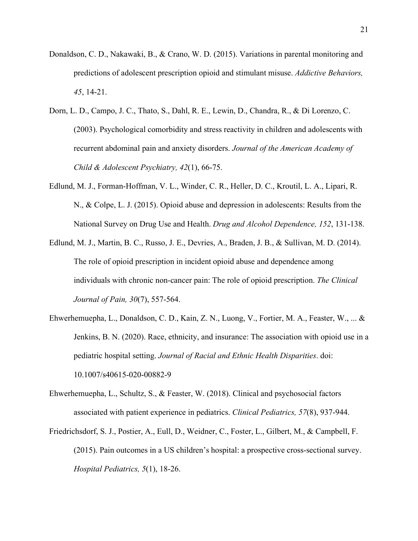- Donaldson, C. D., Nakawaki, B., & Crano, W. D. (2015). Variations in parental monitoring and predictions of adolescent prescription opioid and stimulant misuse. *Addictive Behaviors, 45*, 14-21.
- Dorn, L. D., Campo, J. C., Thato, S., Dahl, R. E., Lewin, D., Chandra, R., & Di Lorenzo, C. (2003). Psychological comorbidity and stress reactivity in children and adolescents with recurrent abdominal pain and anxiety disorders. *Journal of the American Academy of Child & Adolescent Psychiatry, 42*(1), 66-75.
- Edlund, M. J., Forman-Hoffman, V. L., Winder, C. R., Heller, D. C., Kroutil, L. A., Lipari, R. N., & Colpe, L. J. (2015). Opioid abuse and depression in adolescents: Results from the National Survey on Drug Use and Health. *Drug and Alcohol Dependence, 152*, 131-138.
- Edlund, M. J., Martin, B. C., Russo, J. E., Devries, A., Braden, J. B., & Sullivan, M. D. (2014). The role of opioid prescription in incident opioid abuse and dependence among individuals with chronic non-cancer pain: The role of opioid prescription. *The Clinical Journal of Pain, 30*(7), 557-564.
- Ehwerhemuepha, L., Donaldson, C. D., Kain, Z. N., Luong, V., Fortier, M. A., Feaster, W., ... & Jenkins, B. N. (2020). Race, ethnicity, and insurance: The association with opioid use in a pediatric hospital setting. *Journal of Racial and Ethnic Health Disparities*. doi: 10.1007/s40615-020-00882-9
- Ehwerhemuepha, L., Schultz, S., & Feaster, W. (2018). Clinical and psychosocial factors associated with patient experience in pediatrics. *Clinical Pediatrics, 57*(8), 937-944.
- Friedrichsdorf, S. J., Postier, A., Eull, D., Weidner, C., Foster, L., Gilbert, M., & Campbell, F. (2015). Pain outcomes in a US children's hospital: a prospective cross-sectional survey. *Hospital Pediatrics, 5*(1), 18-26.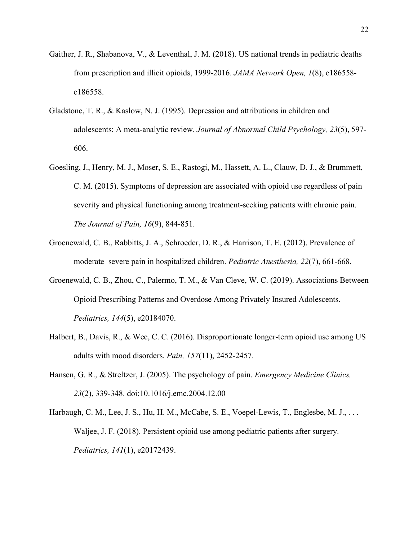- Gaither, J. R., Shabanova, V., & Leventhal, J. M. (2018). US national trends in pediatric deaths from prescription and illicit opioids, 1999-2016. *JAMA Network Open, 1*(8), e186558 e186558.
- Gladstone, T. R., & Kaslow, N. J. (1995). Depression and attributions in children and adolescents: A meta-analytic review. *Journal of Abnormal Child Psychology, 23*(5), 597- 606.
- Goesling, J., Henry, M. J., Moser, S. E., Rastogi, M., Hassett, A. L., Clauw, D. J., & Brummett, C. M. (2015). Symptoms of depression are associated with opioid use regardless of pain severity and physical functioning among treatment-seeking patients with chronic pain. *The Journal of Pain, 16*(9), 844-851.
- Groenewald, C. B., Rabbitts, J. A., Schroeder, D. R., & Harrison, T. E. (2012). Prevalence of moderate–severe pain in hospitalized children. *Pediatric Anesthesia, 22*(7), 661-668.
- Groenewald, C. B., Zhou, C., Palermo, T. M., & Van Cleve, W. C. (2019). Associations Between Opioid Prescribing Patterns and Overdose Among Privately Insured Adolescents. *Pediatrics, 144*(5), e20184070.
- Halbert, B., Davis, R., & Wee, C. C. (2016). Disproportionate longer-term opioid use among US adults with mood disorders. *Pain, 157*(11), 2452-2457.
- Hansen, G. R., & Streltzer, J. (2005). The psychology of pain. *Emergency Medicine Clinics, 23*(2), 339-348. doi:10.1016/j.emc.2004.12.00
- Harbaugh, C. M., Lee, J. S., Hu, H. M., McCabe, S. E., Voepel-Lewis, T., Englesbe, M. J., ... Waljee, J. F. (2018). Persistent opioid use among pediatric patients after surgery. *Pediatrics, 141*(1), e20172439.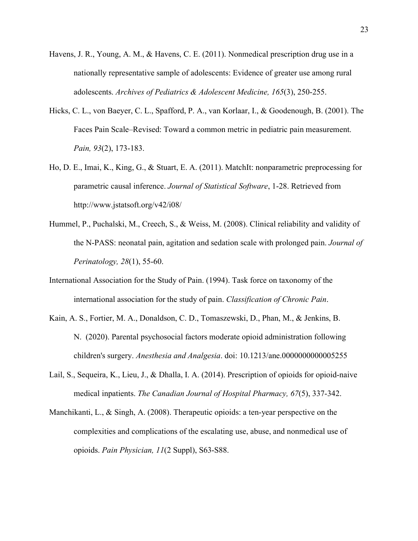- Havens, J. R., Young, A. M., & Havens, C. E. (2011). Nonmedical prescription drug use in a nationally representative sample of adolescents: Evidence of greater use among rural adolescents. *Archives of Pediatrics & Adolescent Medicine, 165*(3), 250-255.
- Hicks, C. L., von Baeyer, C. L., Spafford, P. A., van Korlaar, I., & Goodenough, B. (2001). The Faces Pain Scale–Revised: Toward a common metric in pediatric pain measurement. *Pain, 93*(2), 173-183.
- Ho, D. E., Imai, K., King, G., & Stuart, E. A. (2011). MatchIt: nonparametric preprocessing for parametric causal inference. *Journal of Statistical Software*, 1-28. Retrieved from http://www.jstatsoft.org/v42/i08/
- Hummel, P., Puchalski, M., Creech, S., & Weiss, M. (2008). Clinical reliability and validity of the N-PASS: neonatal pain, agitation and sedation scale with prolonged pain. *Journal of Perinatology, 28*(1), 55-60.
- International Association for the Study of Pain. (1994). Task force on taxonomy of the international association for the study of pain. *Classification of Chronic Pain*.
- Kain, A. S., Fortier, M. A., Donaldson, C. D., Tomaszewski, D., Phan, M., & Jenkins, B. N. (2020). Parental psychosocial factors moderate opioid administration following children's surgery. *Anesthesia and Analgesia*. doi: 10.1213/ane.0000000000005255
- Lail, S., Sequeira, K., Lieu, J., & Dhalla, I. A. (2014). Prescription of opioids for opioid-naive medical inpatients. *The Canadian Journal of Hospital Pharmacy, 67*(5), 337-342.
- Manchikanti, L., & Singh, A. (2008). Therapeutic opioids: a ten-year perspective on the complexities and complications of the escalating use, abuse, and nonmedical use of opioids. *Pain Physician, 11*(2 Suppl), S63-S88.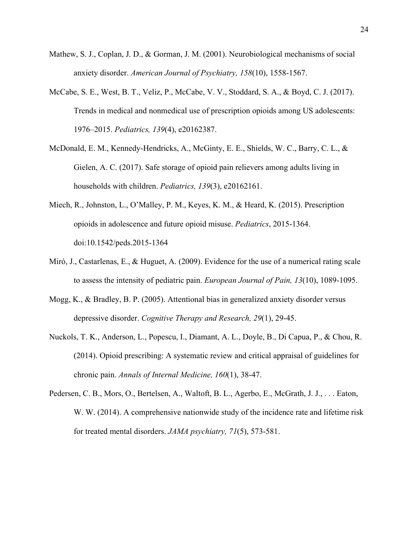- Mathew, S. J., Coplan, J. D., & Gorman, J. M. (2001). Neurobiological mechanisms of social anxiety disorder. *American Journal of Psychiatry, 158*(10), 1558-1567.
- McCabe, S. E., West, B. T., Veliz, P., McCabe, V. V., Stoddard, S. A., & Boyd, C. J. (2017). Trends in medical and nonmedical use of prescription opioids among US adolescents: 1976–2015. *Pediatrics, 139*(4), e20162387.
- McDonald, E. M., Kennedy-Hendricks, A., McGinty, E. E., Shields, W. C., Barry, C. L., & Gielen, A. C. (2017). Safe storage of opioid pain relievers among adults living in households with children. *Pediatrics, 139*(3), e20162161.
- Miech, R., Johnston, L., O'Malley, P. M., Keyes, K. M., & Heard, K. (2015). Prescription opioids in adolescence and future opioid misuse. *Pediatrics*, 2015-1364. doi:10.1542/peds.2015-1364
- Miró, J., Castarlenas, E., & Huguet, A. (2009). Evidence for the use of a numerical rating scale to assess the intensity of pediatric pain. *European Journal of Pain, 13*(10), 1089-1095.
- Mogg, K., & Bradley, B. P. (2005). Attentional bias in generalized anxiety disorder versus depressive disorder. *Cognitive Therapy and Research, 29*(1), 29-45.
- Nuckols, T. K., Anderson, L., Popescu, I., Diamant, A. L., Doyle, B., Di Capua, P., & Chou, R. (2014). Opioid prescribing: A systematic review and critical appraisal of guidelines for chronic pain. *Annals of Internal Medicine, 160*(1), 38-47.
- Pedersen, C. B., Mors, O., Bertelsen, A., Waltoft, B. L., Agerbo, E., McGrath, J. J., . . . Eaton, W. W. (2014). A comprehensive nationwide study of the incidence rate and lifetime risk for treated mental disorders. *JAMA psychiatry, 71*(5), 573-581.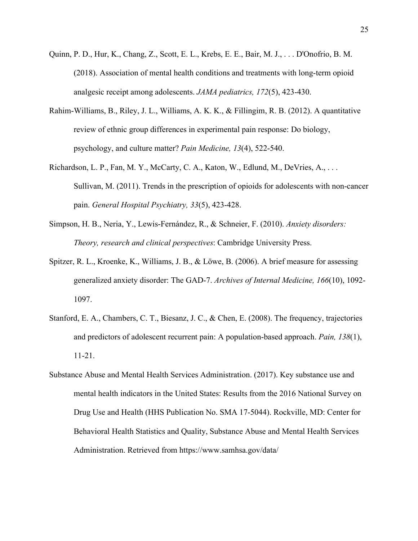- Quinn, P. D., Hur, K., Chang, Z., Scott, E. L., Krebs, E. E., Bair, M. J., . . . D'Onofrio, B. M. (2018). Association of mental health conditions and treatments with long-term opioid analgesic receipt among adolescents. *JAMA pediatrics, 172*(5), 423-430.
- Rahim-Williams, B., Riley, J. L., Williams, A. K. K., & Fillingim, R. B. (2012). A quantitative review of ethnic group differences in experimental pain response: Do biology, psychology, and culture matter? *Pain Medicine, 13*(4), 522-540.
- Richardson, L. P., Fan, M. Y., McCarty, C. A., Katon, W., Edlund, M., DeVries, A., . . . Sullivan, M. (2011). Trends in the prescription of opioids for adolescents with non-cancer pain. *General Hospital Psychiatry, 33*(5), 423-428.
- Simpson, H. B., Neria, Y., Lewis-Fernández, R., & Schneier, F. (2010). *Anxiety disorders: Theory, research and clinical perspectives*: Cambridge University Press.
- Spitzer, R. L., Kroenke, K., Williams, J. B., & Löwe, B. (2006). A brief measure for assessing generalized anxiety disorder: The GAD-7. *Archives of Internal Medicine, 166*(10), 1092- 1097.
- Stanford, E. A., Chambers, C. T., Biesanz, J. C., & Chen, E. (2008). The frequency, trajectories and predictors of adolescent recurrent pain: A population-based approach. *Pain, 138*(1), 11-21.
- Substance Abuse and Mental Health Services Administration. (2017). Key substance use and mental health indicators in the United States: Results from the 2016 National Survey on Drug Use and Health (HHS Publication No. SMA 17-5044). Rockville, MD: Center for Behavioral Health Statistics and Quality, Substance Abuse and Mental Health Services Administration. Retrieved from https://www.samhsa.gov/data/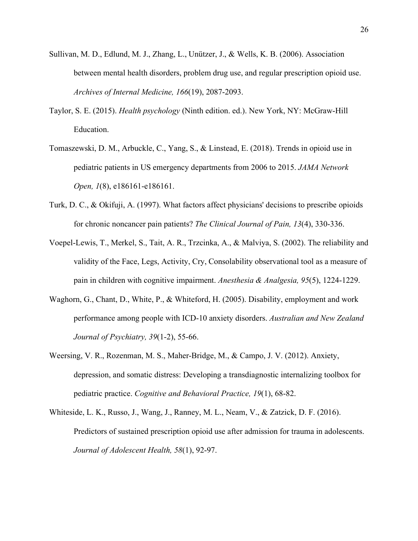- Sullivan, M. D., Edlund, M. J., Zhang, L., Unützer, J., & Wells, K. B. (2006). Association between mental health disorders, problem drug use, and regular prescription opioid use. *Archives of Internal Medicine, 166*(19), 2087-2093.
- Taylor, S. E. (2015). *Health psychology* (Ninth edition. ed.). New York, NY: McGraw-Hill Education.
- Tomaszewski, D. M., Arbuckle, C., Yang, S., & Linstead, E. (2018). Trends in opioid use in pediatric patients in US emergency departments from 2006 to 2015. *JAMA Network Open, 1*(8), e186161-e186161.
- Turk, D. C., & Okifuji, A. (1997). What factors affect physicians' decisions to prescribe opioids for chronic noncancer pain patients? *The Clinical Journal of Pain, 13*(4), 330-336.
- Voepel-Lewis, T., Merkel, S., Tait, A. R., Trzcinka, A., & Malviya, S. (2002). The reliability and validity of the Face, Legs, Activity, Cry, Consolability observational tool as a measure of pain in children with cognitive impairment. *Anesthesia & Analgesia, 95*(5), 1224-1229.
- Waghorn, G., Chant, D., White, P., & Whiteford, H. (2005). Disability, employment and work performance among people with ICD-10 anxiety disorders. *Australian and New Zealand Journal of Psychiatry, 39*(1-2), 55-66.
- Weersing, V. R., Rozenman, M. S., Maher-Bridge, M., & Campo, J. V. (2012). Anxiety, depression, and somatic distress: Developing a transdiagnostic internalizing toolbox for pediatric practice. *Cognitive and Behavioral Practice, 19*(1), 68-82.
- Whiteside, L. K., Russo, J., Wang, J., Ranney, M. L., Neam, V., & Zatzick, D. F. (2016). Predictors of sustained prescription opioid use after admission for trauma in adolescents. *Journal of Adolescent Health, 58*(1), 92-97.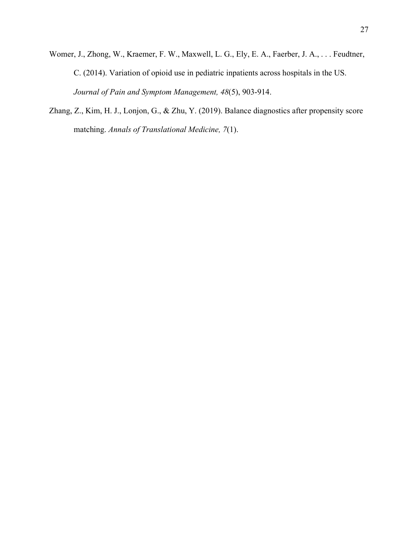- Womer, J., Zhong, W., Kraemer, F. W., Maxwell, L. G., Ely, E. A., Faerber, J. A., . . . Feudtner, C. (2014). Variation of opioid use in pediatric inpatients across hospitals in the US. *Journal of Pain and Symptom Management, 48*(5), 903-914.
- Zhang, Z., Kim, H. J., Lonjon, G., & Zhu, Y. (2019). Balance diagnostics after propensity score matching. *Annals of Translational Medicine, 7*(1).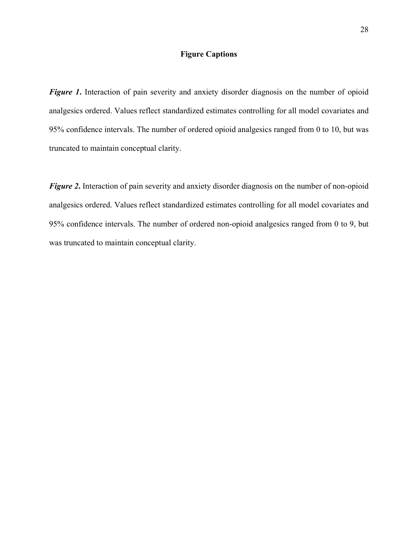## **Figure Captions**

*Figure 1***.** Interaction of pain severity and anxiety disorder diagnosis on the number of opioid analgesics ordered. Values reflect standardized estimates controlling for all model covariates and 95% confidence intervals. The number of ordered opioid analgesics ranged from 0 to 10, but was truncated to maintain conceptual clarity.

*Figure 2***.** Interaction of pain severity and anxiety disorder diagnosis on the number of non-opioid analgesics ordered. Values reflect standardized estimates controlling for all model covariates and 95% confidence intervals. The number of ordered non-opioid analgesics ranged from 0 to 9, but was truncated to maintain conceptual clarity.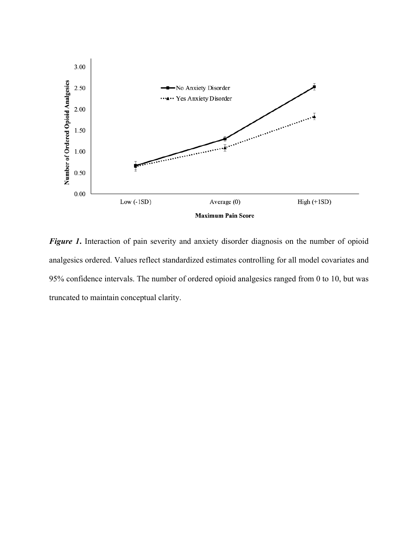

*Figure 1***.** Interaction of pain severity and anxiety disorder diagnosis on the number of opioid analgesics ordered. Values reflect standardized estimates controlling for all model covariates and 95% confidence intervals. The number of ordered opioid analgesics ranged from 0 to 10, but was truncated to maintain conceptual clarity.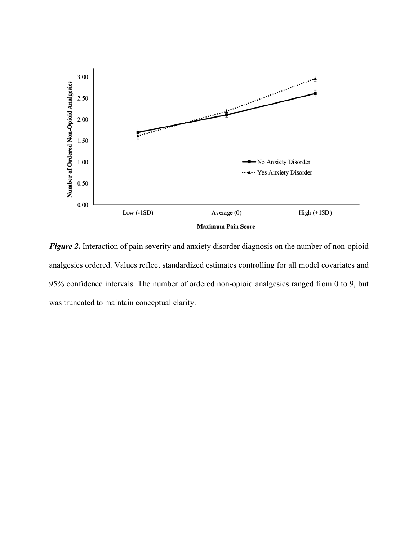

*Figure 2***.** Interaction of pain severity and anxiety disorder diagnosis on the number of non-opioid analgesics ordered. Values reflect standardized estimates controlling for all model covariates and 95% confidence intervals. The number of ordered non-opioid analgesics ranged from 0 to 9, but was truncated to maintain conceptual clarity.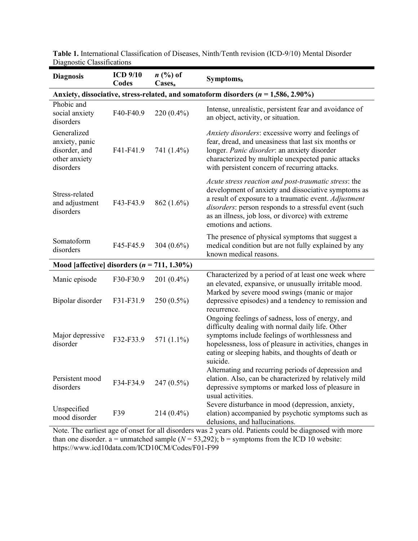| <b>Diagnosis</b>                                                             | <b>ICD 9/10</b><br>Codes | $n \ (\%)$ of<br>Cases <sub>a</sub> | <b>Symptoms</b> <sub>b</sub>                                                                                                                                                                                                                                                                                |
|------------------------------------------------------------------------------|--------------------------|-------------------------------------|-------------------------------------------------------------------------------------------------------------------------------------------------------------------------------------------------------------------------------------------------------------------------------------------------------------|
|                                                                              |                          |                                     | Anxiety, dissociative, stress-related, and somatoform disorders ( $n = 1,586, 2.90\%$ )                                                                                                                                                                                                                     |
| Phobic and<br>social anxiety<br>disorders                                    | F40-F40.9                | $220(0.4\%)$                        | Intense, unrealistic, persistent fear and avoidance of<br>an object, activity, or situation.                                                                                                                                                                                                                |
| Generalized<br>anxiety, panic<br>disorder, and<br>other anxiety<br>disorders | F41-F41.9                | 741 (1.4%)                          | Anxiety disorders: excessive worry and feelings of<br>fear, dread, and uneasiness that last six months or<br>longer. Panic disorder: an anxiety disorder<br>characterized by multiple unexpected panic attacks<br>with persistent concern of recurring attacks.                                             |
| Stress-related<br>and adjustment<br>disorders                                | F43-F43.9                | 862 (1.6%)                          | Acute stress reaction and post-traumatic stress: the<br>development of anxiety and dissociative symptoms as<br>a result of exposure to a traumatic event. Adjustment<br>disorders: person responds to a stressful event (such<br>as an illness, job loss, or divorce) with extreme<br>emotions and actions. |
| Somatoform<br>disorders                                                      | F45-F45.9                | 304 (0.6%)                          | The presence of physical symptoms that suggest a<br>medical condition but are not fully explained by any<br>known medical reasons.                                                                                                                                                                          |
| Mood [affective] disorders $(n = 711, 1.30\%)$                               |                          |                                     |                                                                                                                                                                                                                                                                                                             |
| Manic episode                                                                | F30-F30.9                | $201(0.4\%)$                        | Characterized by a period of at least one week where<br>an elevated, expansive, or unusually irritable mood.<br>Marked by severe mood swings (manic or major                                                                                                                                                |
| Bipolar disorder                                                             | F31-F31.9                | 250 (0.5%)                          | depressive episodes) and a tendency to remission and<br>recurrence.                                                                                                                                                                                                                                         |
| Major depressive<br>disorder                                                 | F32-F33.9                | 571 (1.1%)                          | Ongoing feelings of sadness, loss of energy, and<br>difficulty dealing with normal daily life. Other<br>symptoms include feelings of worthlessness and<br>hopelessness, loss of pleasure in activities, changes in<br>eating or sleeping habits, and thoughts of death or<br>suicide.                       |
| Persistent mood<br>disorders                                                 | F34-F34.9                | 247 (0.5%)                          | Alternating and recurring periods of depression and<br>elation. Also, can be characterized by relatively mild<br>depressive symptoms or marked loss of pleasure in<br>usual activities.                                                                                                                     |
| Unspecified<br>mood disorder                                                 | F39                      | $214(0.4\%)$                        | Severe disturbance in mood (depression, anxiety,<br>elation) accompanied by psychotic symptoms such as<br>delusions, and hallucinations.                                                                                                                                                                    |

**Table 1.** International Classification of Diseases, Ninth/Tenth revision (ICD-9/10) Mental Disorder Diagnostic Classifications

Note. The earliest age of onset for all disorders was 2 years old. Patients could be diagnosed with more than one disorder.  $a =$  unmatched sample ( $N = 53,292$ );  $b =$  symptoms from the ICD 10 website: https://www.icd10data.com/ICD10CM/Codes/F01-F99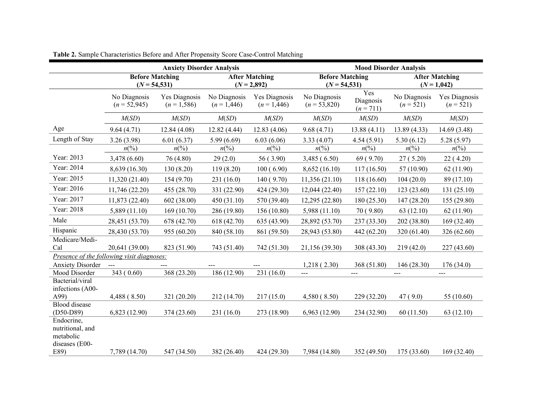|                                                               |                                            | <b>Anxiety Disorder Analysis</b> |                             | <b>Mood Disorder Analysis</b>          |                                           |                                 |                             |                                      |  |
|---------------------------------------------------------------|--------------------------------------------|----------------------------------|-----------------------------|----------------------------------------|-------------------------------------------|---------------------------------|-----------------------------|--------------------------------------|--|
|                                                               | <b>Before Matching</b><br>$(N = 54, 531)$  |                                  |                             | <b>After Matching</b><br>$(N = 2,892)$ | <b>Before Matching</b><br>$(N = 54, 531)$ |                                 |                             | <b>After Matching</b><br>$(N=1,042)$ |  |
|                                                               | No Diagnosis<br>$(n = 52,945)$             | Yes Diagnosis<br>$(n = 1,586)$   | No Diagnosis<br>$(n=1,446)$ | Yes Diagnosis<br>$(n=1,446)$           | No Diagnosis<br>$(n = 53,820)$            | Yes<br>Diagnosis<br>$(n = 711)$ | No Diagnosis<br>$(n = 521)$ | Yes Diagnosis<br>$(n = 521)$         |  |
|                                                               | M(SD)                                      | M(SD)                            | M(SD)                       | M(SD)                                  | M(SD)                                     | M(SD)                           | M(SD)                       | M(SD)                                |  |
| Age                                                           | 9.64(4.71)                                 | 12.84(4.08)                      | 12.82 (4.44)                | 12.83(4.06)                            | 9.68(4.71)                                | 13.88(4.11)                     | 13.89 (4.33)                | 14.69 (3.48)                         |  |
| Length of Stay                                                | 3.26(3.98)                                 | 6.01(6.37)                       | 5.99(6.69)                  | 6.03(6.06)                             | 3.33(4.07)                                | 4.54(5.91)                      | 5.30(6.12)                  | 5.28(5.97)                           |  |
|                                                               | $n\binom{0}{0}$                            | $n\binom{0}{0}$                  | $n\binom{0}{0}$             | $n\binom{0}{0}$                        | $n\frac{6}{6}$                            | $n\left(\%\right)$              | $n\left(\%\right)$          | $n\left(\%\right)$                   |  |
| Year: 2013                                                    | 3,478 (6.60)                               | 76 (4.80)                        | 29(2.0)                     | 56 (3.90)                              | 3,485(6.50)                               | 69(9.70)                        | 27(5.20)                    | 22(4.20)                             |  |
| Year: 2014                                                    | 8,639 (16.30)                              | 130 (8.20)                       | 119 (8.20)                  | 100(6.90)                              | 8,652(16.10)                              | 117(16.50)                      | 57 (10.90)                  | 62(11.90)                            |  |
| Year: 2015                                                    | 11,320 (21.40)                             | 154(9.70)                        | 231 (16.0)                  | 140(9.70)                              | 11,356 (21.10)                            | 118 (16.60)                     | 104(20.0)                   | 89 (17.10)                           |  |
| Year: 2016                                                    | 11,746 (22.20)                             | 455 (28.70)                      | 331 (22.90)                 | 424 (29.30)                            | 12,044 (22.40)                            | 157(22.10)                      | 123(23.60)                  | 131(25.10)                           |  |
| Year: 2017                                                    | 11,873 (22.40)                             | 602 (38.00)                      | 450(31.10)                  | 570 (39.40)                            | 12,295 (22.80)                            | 180 (25.30)                     | 147 (28.20)                 | 155 (29.80)                          |  |
| Year: 2018                                                    | 5,889 (11.10)                              | 169(10.70)                       | 286 (19.80)                 | 156 (10.80)                            | 5,988 (11.10)                             | 70(9.80)                        | 63(12.10)                   | 62(11.90)                            |  |
| Male                                                          | 28,451 (53.70)                             | 678 (42.70)                      | 618 (42.70)                 | 635 (43.90)                            | 28,892 (53.70)                            | 237 (33.30)                     | 202 (38.80)                 | 169 (32.40)                          |  |
| Hispanic                                                      | 28,430 (53.70)                             | 955 (60.20)                      | 840 (58.10)                 | 861 (59.50)                            | 28,943 (53.80)                            | 442 (62.20)                     | 320 (61.40)                 | 326 (62.60)                          |  |
| Medicare/Medi-<br>Cal                                         | 20,641 (39.00)                             | 823 (51.90)                      | 743 (51.40)                 | 742 (51.30)                            | 21,156 (39.30)                            | 308 (43.30)                     | 219(42.0)                   | 227 (43.60)                          |  |
|                                                               | Presence of the following visit diagnoses: |                                  |                             |                                        |                                           |                                 |                             |                                      |  |
| <b>Anxiety Disorder</b>                                       | $\sim$ $\sim$                              |                                  |                             |                                        | 1,218(2.30)                               | 368 (51.80)                     | 146 (28.30)                 | 176(34.0)                            |  |
| Mood Disorder<br>Bacterial/viral                              | 343 (0.60)                                 | 368 (23.20)                      | 186 (12.90)                 | 231 (16.0)                             | $---$                                     | $---$                           | $---$                       | ---                                  |  |
| infections (A00-                                              |                                            |                                  |                             |                                        |                                           |                                 |                             |                                      |  |
| A99)                                                          | 4,488 (8.50)                               | 321 (20.20)                      | 212 (14.70)                 | 217(15.0)                              | 4,580(8.50)                               | 229 (32.20)                     | 47(9.0)                     | 55 (10.60)                           |  |
| <b>Blood</b> disease<br>$(D50-D89)$                           | 6,823 (12.90)                              | 374 (23.60)                      | 231(16.0)                   | 273 (18.90)                            | 6,963(12.90)                              | 234 (32.90)                     | 60(11.50)                   | 63(12.10)                            |  |
| Endocrine,<br>nutritional, and<br>metabolic<br>diseases (E00- |                                            |                                  |                             |                                        |                                           |                                 |                             |                                      |  |
| E89)                                                          | 7,789 (14.70)                              | 547 (34.50)                      | 382 (26.40)                 | 424 (29.30)                            | 7,984 (14.80)                             | 352 (49.50)                     | 175 (33.60)                 | 169 (32.40)                          |  |

**Table 2.** Sample Characteristics Before and After Propensity Score Case-Control Matching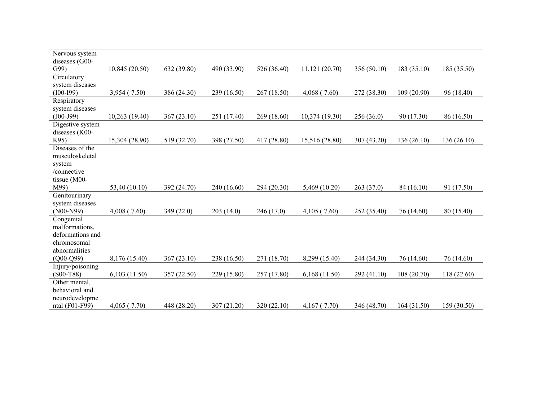| Nervous system<br>diseases (G00- |                |             |             |             |                |             |            |             |
|----------------------------------|----------------|-------------|-------------|-------------|----------------|-------------|------------|-------------|
| G99                              | 10,845(20.50)  | 632 (39.80) | 490 (33.90) | 526 (36.40) | 11,121(20.70)  | 356 (50.10) | 183(35.10) | 185 (35.50) |
| Circulatory                      |                |             |             |             |                |             |            |             |
| system diseases                  |                |             |             |             |                |             |            |             |
| $(100-I99)$                      | 3,954 (7.50)   | 386 (24.30) | 239 (16.50) | 267(18.50)  | 4,068(7.60)    | 272 (38.30) | 109(20.90) | 96 (18.40)  |
| Respiratory                      |                |             |             |             |                |             |            |             |
| system diseases                  |                |             |             |             |                |             |            |             |
| $(J00-J99)$                      | 10,263 (19.40) | 367(23.10)  | 251 (17.40) | 269 (18.60) | 10,374 (19.30) | 256(36.0)   | 90 (17.30) | 86 (16.50)  |
| Digestive system                 |                |             |             |             |                |             |            |             |
| diseases (K00-<br>K95)           |                |             |             |             |                |             |            |             |
| Diseases of the                  | 15,304 (28.90) | 519 (32.70) | 398 (27.50) | 417 (28.80) | 15,516 (28.80) | 307 (43.20) | 136(26.10) | 136 (26.10) |
| musculoskeletal                  |                |             |             |             |                |             |            |             |
| system                           |                |             |             |             |                |             |            |             |
| /connective                      |                |             |             |             |                |             |            |             |
| tissue (M00-                     |                |             |             |             |                |             |            |             |
| M99)                             | 53,40 (10.10)  | 392 (24.70) | 240 (16.60) | 294 (20.30) | 5,469(10.20)   | 263(37.0)   | 84 (16.10) | 91 (17.50)  |
| Genitourinary                    |                |             |             |             |                |             |            |             |
| system diseases                  |                |             |             |             |                |             |            |             |
| $(NO0-N99)$                      | $4,008$ (7.60) | 349 (22.0)  | 203(14.0)   | 246(17.0)   | 4,105(7.60)    | 252 (35.40) | 76 (14.60) | 80 (15.40)  |
| Congenital                       |                |             |             |             |                |             |            |             |
| malformations,                   |                |             |             |             |                |             |            |             |
| deformations and                 |                |             |             |             |                |             |            |             |
| chromosomal                      |                |             |             |             |                |             |            |             |
| abnormalities                    |                |             |             |             |                |             |            |             |
| $(Q00-Q99)$                      | 8,176 (15.40)  | 367 (23.10) | 238 (16.50) | 271 (18.70) | 8,299 (15.40)  | 244 (34.30) | 76 (14.60) | 76 (14.60)  |
| Injury/poisoning                 |                |             |             |             |                |             |            |             |
| $(S00-T88)$                      | 6,103(11.50)   | 357 (22.50) | 229 (15.80) | 257 (17.80) | 6,168(11.50)   | 292(41.10)  | 108(20.70) | 118 (22.60) |
| Other mental,                    |                |             |             |             |                |             |            |             |
| behavioral and                   |                |             |             |             |                |             |            |             |
| neurodevelopme                   |                |             |             |             |                |             |            |             |
| ntal (F01-F99)                   | 4,065(7.70)    | 448 (28.20) | 307 (21.20) | 320 (22.10) | 4,167(7.70)    | 346 (48.70) | 164(31.50) | 159 (30.50) |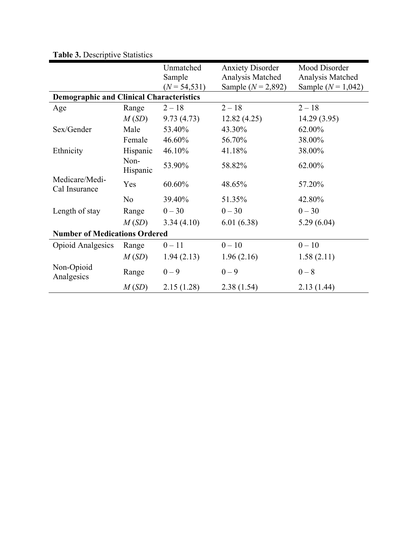|                                                 |                  | Unmatched<br>Sample | <b>Anxiety Disorder</b><br>Analysis Matched | Mood Disorder<br>Analysis Matched |
|-------------------------------------------------|------------------|---------------------|---------------------------------------------|-----------------------------------|
| <b>Demographic and Clinical Characteristics</b> |                  | $(N = 54, 531)$     | Sample ( $N = 2,892$ )                      | Sample $(N = 1,042)$              |
|                                                 |                  |                     |                                             |                                   |
| Age                                             | Range            | $2 - 18$            | $2 - 18$                                    | $2 - 18$                          |
|                                                 | M(SD)            | 9.73(4.73)          | 12.82(4.25)                                 | 14.29 (3.95)                      |
| Sex/Gender                                      | Male             | 53.40%              | 43.30%                                      | 62.00%                            |
|                                                 | Female           | 46.60%              | 56.70%                                      | 38.00%                            |
| Ethnicity                                       | Hispanic         | 46.10%              | 41.18%                                      | 38.00%                            |
|                                                 | Non-<br>Hispanic | 53.90%              | 58.82%                                      | 62.00%                            |
| Medicare/Medi-<br>Cal Insurance                 | Yes              | 60.60%              | 48.65%                                      | 57.20%                            |
|                                                 | N <sub>o</sub>   | 39.40%              | 51.35%                                      | 42.80%                            |
| Length of stay                                  | Range            | $0 - 30$            | $0 - 30$                                    | $0 - 30$                          |
|                                                 | M(SD)            | 3.34(4.10)          | 6.01(6.38)                                  | 5.29(6.04)                        |
| <b>Number of Medications Ordered</b>            |                  |                     |                                             |                                   |
| <b>Opioid Analgesics</b>                        | Range            | $0 - 11$            | $0 - 10$                                    | $0 - 10$                          |
|                                                 | M(SD)            | 1.94(2.13)          | 1.96(2.16)                                  | 1.58(2.11)                        |
| Non-Opioid<br>Analgesics                        | Range            | $0 - 9$             | $0 - 9$                                     | $0 - 8$                           |
|                                                 | M(SD)            | 2.15(1.28)          | 2.38(1.54)                                  | 2.13(1.44)                        |

**Table 3.** Descriptive Statistics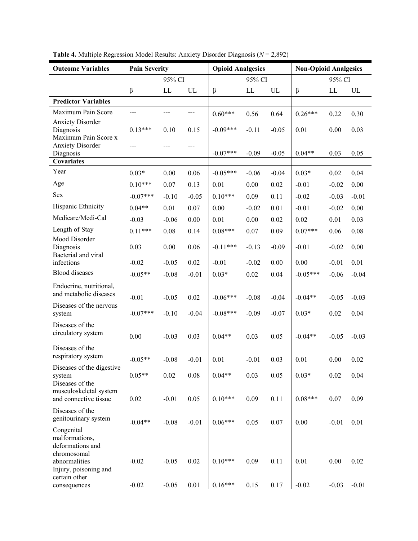| <b>Outcome Variables</b>                                        | <b>Pain Severity</b> |         |         | <b>Opioid Analgesics</b> |                            |         | <b>Non-Opioid Analgesics</b> |         |         |
|-----------------------------------------------------------------|----------------------|---------|---------|--------------------------|----------------------------|---------|------------------------------|---------|---------|
|                                                                 |                      | 95% CI  |         |                          | 95% CI                     |         |                              | 95% CI  |         |
|                                                                 | β                    | LL      | UL      | $\boldsymbol{\beta}$     | $\mathop{\rm LL}\nolimits$ | UL      | β                            | LL      | UL      |
| <b>Predictor Variables</b>                                      |                      |         |         |                          |                            |         |                              |         |         |
| Maximum Pain Score                                              | $---$                | ---     | ---     | $0.60***$                | 0.56                       | 0.64    | $0.26***$                    | 0.22    | 0.30    |
| <b>Anxiety Disorder</b><br>Diagnosis                            | $0.13***$            | 0.10    | 0.15    | $-0.09***$               | $-0.11$                    | $-0.05$ | 0.01                         | 0.00    | 0.03    |
| Maximum Pain Score x<br><b>Anxiety Disorder</b><br>Diagnosis    | ---                  |         | ---     | $-0.07***$               | $-0.09$                    | $-0.05$ | $0.04**$                     | 0.03    | 0.05    |
| Covariates                                                      |                      |         |         |                          |                            |         |                              |         |         |
| Year                                                            | $0.03*$              | 0.00    | 0.06    | $-0.05***$               | $-0.06$                    | $-0.04$ | $0.03*$                      | 0.02    | 0.04    |
| Age                                                             | $0.10***$            | 0.07    | 0.13    | 0.01                     | 0.00                       | 0.02    | $-0.01$                      | $-0.02$ | 0.00    |
| Sex                                                             | $-0.07***$           | $-0.10$ | $-0.05$ | $0.10***$                | 0.09                       | 0.11    | $-0.02$                      | $-0.03$ | $-0.01$ |
| Hispanic Ethnicity                                              | $0.04**$             | 0.01    | 0.07    | 0.00                     | $-0.02$                    | 0.01    | $-0.01$                      | $-0.02$ | 0.00    |
| Medicare/Medi-Cal                                               | $-0.03$              | $-0.06$ | 0.00    | 0.01                     | 0.00                       | 0.02    | 0.02                         | 0.01    | 0.03    |
| Length of Stay                                                  | $0.11***$            | 0.08    | 0.14    | $0.08***$                | 0.07                       | 0.09    | $0.07***$                    | 0.06    | 0.08    |
| Mood Disorder<br>Diagnosis                                      | 0.03                 | 0.00    | 0.06    | $-0.11***$               | $-0.13$                    | $-0.09$ | $-0.01$                      | $-0.02$ | 0.00    |
| Bacterial and viral<br>infections                               | $-0.02$              | $-0.05$ | 0.02    | $-0.01$                  | $-0.02$                    | 0.00    | 0.00                         | $-0.01$ | 0.01    |
| <b>Blood</b> diseases                                           | $-0.05**$            | $-0.08$ | $-0.01$ | $0.03*$                  | 0.02                       | 0.04    | $-0.05***$                   | $-0.06$ | $-0.04$ |
|                                                                 |                      |         |         |                          |                            |         |                              |         |         |
| Endocrine, nutritional,<br>and metabolic diseases               | $-0.01$              | $-0.05$ | 0.02    | $-0.06***$               | $-0.08$                    | $-0.04$ | $-0.04**$                    | $-0.05$ | $-0.03$ |
| Diseases of the nervous<br>system                               | $-0.07***$           | $-0.10$ | $-0.04$ | $-0.08***$               | $-0.09$                    | $-0.07$ | $0.03*$                      | 0.02    | 0.04    |
| Diseases of the<br>circulatory system                           | 0.00                 | $-0.03$ | 0.03    | $0.04**$                 | 0.03                       | 0.05    | $-0.04**$                    | $-0.05$ | $-0.03$ |
| Diseases of the<br>respiratory system                           | $-0.05**$            | $-0.08$ | $-0.01$ | 0.01                     | $-0.01$                    | 0.03    | 0.01                         | 0.00    | 0.02    |
| Diseases of the digestive<br>system<br>Diseases of the          | $0.05**$             | 0.02    | 0.08    | $0.04**$                 | 0.03                       | 0.05    | $0.03*$                      | 0.02    | 0.04    |
| musculoskeletal system<br>and connective tissue                 | 0.02                 | $-0.01$ | 0.05    | $0.10***$                | 0.09                       | 0.11    | $0.08***$                    | 0.07    | 0.09    |
| Diseases of the<br>genitourinary system                         | $-0.04**$            | $-0.08$ | $-0.01$ | $0.06***$                | 0.05                       | 0.07    | 0.00                         | $-0.01$ | 0.01    |
| Congenital<br>malformations,<br>deformations and<br>chromosomal |                      |         |         |                          |                            |         |                              |         |         |
| abnormalities<br>Injury, poisoning and<br>certain other         | $-0.02$              | $-0.05$ | 0.02    | $0.10***$                | 0.09                       | 0.11    | 0.01                         | 0.00    | 0.02    |
| consequences                                                    | $-0.02$              | $-0.05$ | 0.01    | $0.16***$                | 0.15                       | 0.17    | $-0.02$                      | $-0.03$ | $-0.01$ |

**Table 4.** Multiple Regression Model Results: Anxiety Disorder Diagnosis (*N* = 2,892)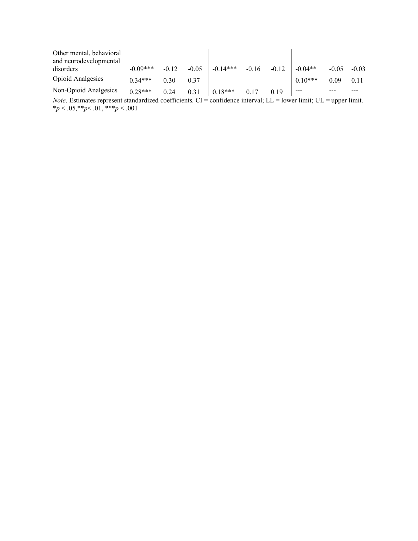| Other mental, behavioral<br>and neurodevelopmental |            |         |         |            |         |         |           |         |         |
|----------------------------------------------------|------------|---------|---------|------------|---------|---------|-----------|---------|---------|
| disorders                                          | $-0.09***$ | $-0.12$ | $-0.05$ | $-0.14***$ | $-0.16$ | $-0.12$ | $-0.04**$ | $-0.05$ | $-0.03$ |
| <b>Opioid Analgesics</b>                           | $0.34***$  | 0.30    | 0.37    |            |         |         | $0.10***$ | 0.09    | 0.11    |
| Non-Opioid Analgesics                              | $0.28***$  | 0.24    | 0.31    | $0.18***$  | 0.17    | 0.19    | ---       |         |         |

*Note*. Estimates represent standardized coefficients. CI = confidence interval; LL = lower limit; UL = upper limit. \**p* < .05,\*\**p*< .01, \*\*\**p* < .001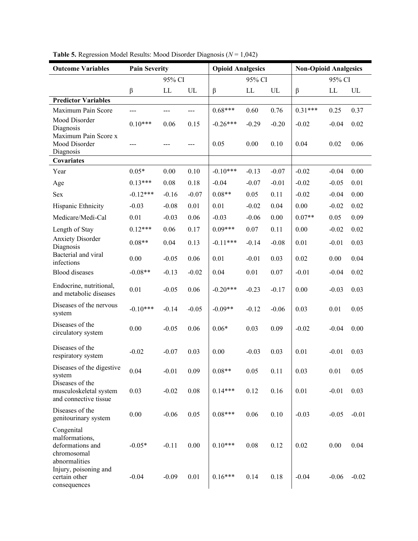| <b>Outcome Variables</b>                                                         | <b>Pain Severity</b> |         |               | <b>Opioid Analgesics</b> |          |                            | <b>Non-Opioid Analgesics</b> |         |         |
|----------------------------------------------------------------------------------|----------------------|---------|---------------|--------------------------|----------|----------------------------|------------------------------|---------|---------|
|                                                                                  |                      | 95% CI  |               |                          | 95% CI   |                            |                              | 95% CI  |         |
|                                                                                  | β                    | LL      | UL            | $\beta$                  | LL       | $\ensuremath{\mathsf{UL}}$ | $\beta$                      | LL      | UL      |
| <b>Predictor Variables</b>                                                       |                      |         |               |                          |          |                            |                              |         |         |
| Maximum Pain Score                                                               | ---                  | ---     | ---           | $0.68***$                | 0.60     | 0.76                       | $0.31***$                    | 0.25    | 0.37    |
| Mood Disorder<br>Diagnosis                                                       | $0.10***$            | 0.06    | 0.15          | $-0.26***$               | $-0.29$  | $-0.20$                    | $-0.02$                      | $-0.04$ | 0.02    |
| Maximum Pain Score x<br>Mood Disorder<br>Diagnosis                               | $---$                | ---     | $\frac{1}{2}$ | 0.05                     | 0.00     | 0.10                       | 0.04                         | 0.02    | 0.06    |
| <b>Covariates</b>                                                                |                      |         |               |                          |          |                            |                              |         |         |
| Year                                                                             | $0.05*$              | 0.00    | 0.10          | $-0.10***$               | $-0.13$  | $-0.07$                    | $-0.02$                      | $-0.04$ | 0.00    |
| Age                                                                              | $0.13***$            | 0.08    | 0.18          | $-0.04$                  | $-0.07$  | $-0.01$                    | $-0.02$                      | $-0.05$ | 0.01    |
| Sex                                                                              | $-0.12***$           | $-0.16$ | $-0.07$       | $0.08**$                 | 0.05     | 0.11                       | $-0.02$                      | $-0.04$ | 0.00    |
| Hispanic Ethnicity                                                               | $-0.03$              | $-0.08$ | 0.01          | 0.01                     | $-0.02$  | 0.04                       | 0.00                         | $-0.02$ | 0.02    |
| Medicare/Medi-Cal                                                                | 0.01                 | $-0.03$ | 0.06          | $-0.03$                  | $-0.06$  | 0.00                       | $0.07**$                     | 0.05    | 0.09    |
| Length of Stay                                                                   | $0.12***$            | 0.06    | 0.17          | $0.09***$                | 0.07     | 0.11                       | 0.00                         | $-0.02$ | 0.02    |
| <b>Anxiety Disorder</b><br>Diagnosis                                             | $0.08**$             | 0.04    | 0.13          | $-0.11***$               | $-0.14$  | $-0.08$                    | 0.01                         | $-0.01$ | 0.03    |
| Bacterial and viral<br>infections                                                | 0.00                 | $-0.05$ | 0.06          | 0.01                     | $-0.01$  | 0.03                       | 0.02                         | 0.00    | 0.04    |
| <b>Blood</b> diseases                                                            | $-0.08**$            | $-0.13$ | $-0.02$       | 0.04                     | 0.01     | 0.07                       | $-0.01$                      | $-0.04$ | 0.02    |
| Endocrine, nutritional,<br>and metabolic diseases                                | 0.01                 | $-0.05$ | 0.06          | $-0.20***$               | $-0.23$  | $-0.17$                    | 0.00                         | $-0.03$ | 0.03    |
| Diseases of the nervous<br>system                                                | $-0.10***$           | $-0.14$ | $-0.05$       | $-0.09**$                | $-0.12$  | $-0.06$                    | 0.03                         | 0.01    | 0.05    |
| Diseases of the<br>circulatory system                                            | 0.00                 | $-0.05$ | 0.06          | $0.06*$                  | 0.03     | 0.09                       | $-0.02$                      | $-0.04$ | 0.00    |
| Diseases of the<br>respiratory system                                            | $-0.02$              | $-0.07$ | 0.03          | 0.00                     | $-0.03$  | 0.03                       | 0.01                         | $-0.01$ | 0.03    |
| Diseases of the digestive<br>system                                              | 0.04                 | $-0.01$ | 0.09          | $0.08**$                 | 0.05     | 0.11                       | 0.03                         | 0.01    | 0.05    |
| Diseases of the<br>musculoskeletal system<br>and connective tissue               | 0.03                 | $-0.02$ | $0.08\,$      | $0.14***$                | 0.12     | 0.16                       | $0.01\,$                     | $-0.01$ | 0.03    |
| Diseases of the<br>genitourinary system                                          | $0.00\,$             | $-0.06$ | 0.05          | $0.08***$                | $0.06\,$ | 0.10                       | $-0.03$                      | $-0.05$ | $-0.01$ |
| Congenital<br>malformations,<br>deformations and<br>chromosomal<br>abnormalities | $-0.05*$             | $-0.11$ | 0.00          | $0.10***$                | $0.08\,$ | 0.12                       | 0.02                         | 0.00    | 0.04    |
| Injury, poisoning and<br>certain other<br>consequences                           | $-0.04$              | $-0.09$ | 0.01          | $0.16***$                | 0.14     | 0.18                       | $-0.04$                      | $-0.06$ | $-0.02$ |

**Table 5.** Regression Model Results: Mood Disorder Diagnosis (*N* = 1,042)